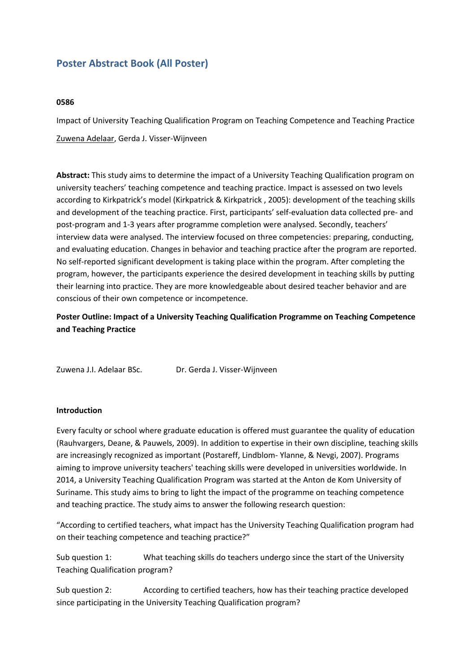# **Poster Abstract Book (All Poster)**

## **0586**

Impact of University Teaching Qualification Program on Teaching Competence and Teaching Practice Zuwena Adelaar, Gerda J. Visser-Wijnveen

**Abstract:** This study aims to determine the impact of <sup>a</sup> University Teaching Qualification program on university teachers' teaching competence and teaching practice. Impact is assessed on two levels according to Kirkpatrick's model (Kirkpatrick & Kirkpatrick , 2005): development of the teaching skills and development of the teaching practice. First, participants' self-evaluation data collected pre- and post-program and 1-3 years after programme completion were analysed. Secondly, teachers' interview data were analysed. The interview focused on three competencies: preparing, conducting, and evaluating education. Changes in behavior and teaching practice after the program are reported. No self-reported significant development is taking place within the program. After completing the program, however, the participants experience the desired development in teaching skills by putting their learning into practice. They are more knowledgeable about desired teacher behavior and are conscious of their own competence or incompetence.

# **Poster Outline: Impact of <sup>a</sup> University Teaching Qualification Programme on Teaching Competence and Teaching Practice**

| Zuwena J.I. Adelaar BSc. | Dr. Gerda J. Visser-Wijnveen |
|--------------------------|------------------------------|
|--------------------------|------------------------------|

#### **Introduction**

Every faculty or school where graduate education is offered must guarantee the quality of education (Rauhvargers, Deane, & Pauwels, 2009). In addition to expertise in their own discipline, teaching skills are increasingly recognized as important (Postareff, Lindblom- Ylanne, & Nevgi, 2007). Programs aiming to improve university teachers' teaching skills were developed in universities worldwide. In 2014, <sup>a</sup> University Teaching Qualification Program was started at the Anton de Kom University of Suriname. This study aims to bring to light the impact of the programme on teaching competence and teaching practice. The study aims to answer the following research question:

"According to certified teachers, what impact has the University Teaching Qualification program had on their teaching competence and teaching practice?"

Sub question 1: What teaching skills do teachers undergo since the start of the University Teaching Qualification program?

Sub question 2: According to certified teachers, how has their teaching practice developed since participating in the University Teaching Qualification program?